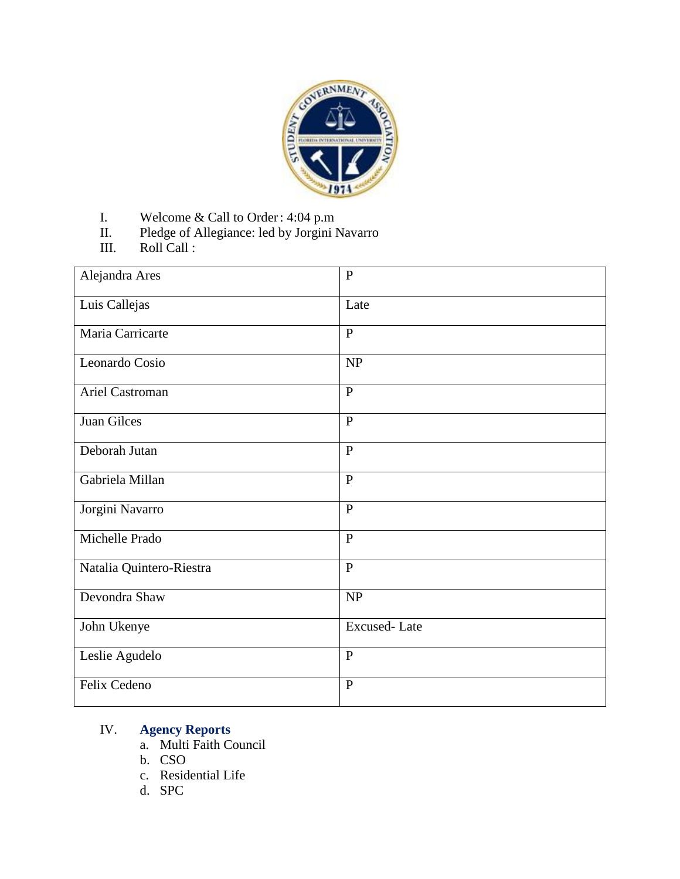

- I. Welcome & Call to Order: 4:04 p.m
- II. Pledge of Allegiance: led by Jorgini Navarro
- III. Roll Call :

| Alejandra Ares           | $\overline{P}$      |
|--------------------------|---------------------|
| Luis Callejas            | Late                |
| Maria Carricarte         | $\mathbf{P}$        |
| Leonardo Cosio           | NP                  |
| Ariel Castroman          | $\mathbf{P}$        |
| Juan Gilces              | $\mathbf{P}$        |
| Deborah Jutan            | $\mathbf{P}$        |
| Gabriela Millan          | $\mathbf{P}$        |
| Jorgini Navarro          | $\mathbf{P}$        |
| Michelle Prado           | $\mathbf{P}$        |
| Natalia Quintero-Riestra | $\mathbf{P}$        |
| Devondra Shaw            | NP                  |
| John Ukenye              | <b>Excused-Late</b> |
| Leslie Agudelo           | $\mathbf{P}$        |
| Felix Cedeno             | $\mathbf{P}$        |

#### IV. **Agency Reports**

- a. Multi Faith Council
- b. CSO
- c. Residential Life
- d. SPC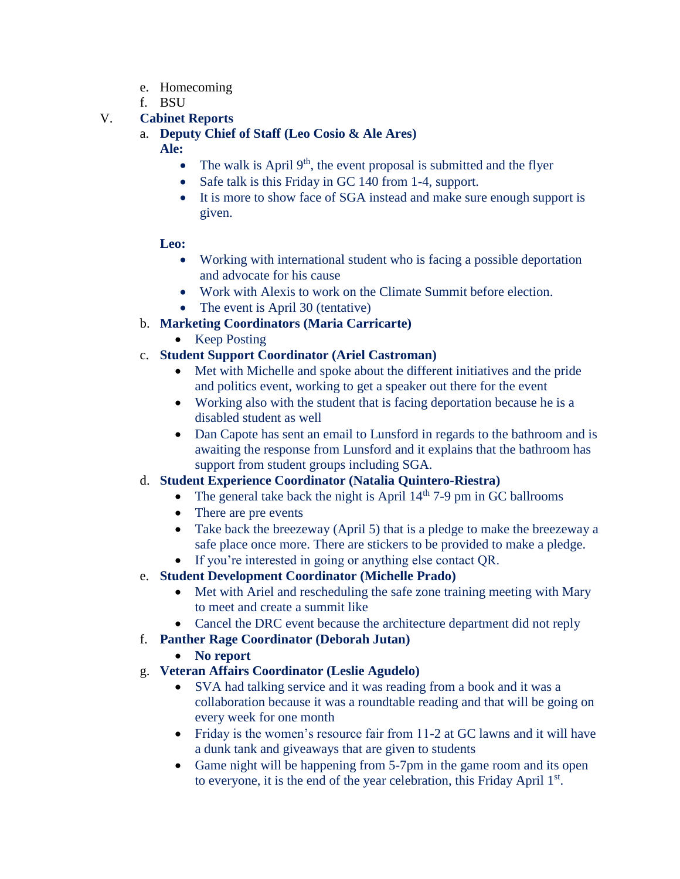- e. Homecoming
- f. BSU

# V. **Cabinet Reports**

### a. **Deputy Chief of Staff (Leo Cosio & Ale Ares)**

**Ale:**

- The walk is April  $9<sup>th</sup>$ , the event proposal is submitted and the flyer
- Safe talk is this Friday in GC 140 from 1-4, support.
- It is more to show face of SGA instead and make sure enough support is given.

### **Leo:**

- Working with international student who is facing a possible deportation and advocate for his cause
- Work with Alexis to work on the Climate Summit before election.
- The event is April 30 (tentative)
- b. **Marketing Coordinators (Maria Carricarte)**
	- Keep Posting

# c. **Student Support Coordinator (Ariel Castroman)**

- Met with Michelle and spoke about the different initiatives and the pride and politics event, working to get a speaker out there for the event
- Working also with the student that is facing deportation because he is a disabled student as well
- Dan Capote has sent an email to Lunsford in regards to the bathroom and is awaiting the response from Lunsford and it explains that the bathroom has support from student groups including SGA.
- d. **Student Experience Coordinator (Natalia Quintero-Riestra)**
	- The general take back the night is April  $14<sup>th</sup>$  7-9 pm in GC ballrooms
	- There are pre events
	- Take back the breezeway (April 5) that is a pledge to make the breezeway a safe place once more. There are stickers to be provided to make a pledge.
	- If you're interested in going or anything else contact QR.
- e. **Student Development Coordinator (Michelle Prado)**
	- Met with Ariel and rescheduling the safe zone training meeting with Mary to meet and create a summit like
	- Cancel the DRC event because the architecture department did not reply
- f. **Panther Rage Coordinator (Deborah Jutan)**
	- **No report**
- g. **Veteran Affairs Coordinator (Leslie Agudelo)**
	- SVA had talking service and it was reading from a book and it was a collaboration because it was a roundtable reading and that will be going on every week for one month
	- Friday is the women's resource fair from 11-2 at GC lawns and it will have a dunk tank and giveaways that are given to students
	- Game night will be happening from 5-7pm in the game room and its open to everyone, it is the end of the year celebration, this Friday April 1<sup>st</sup>.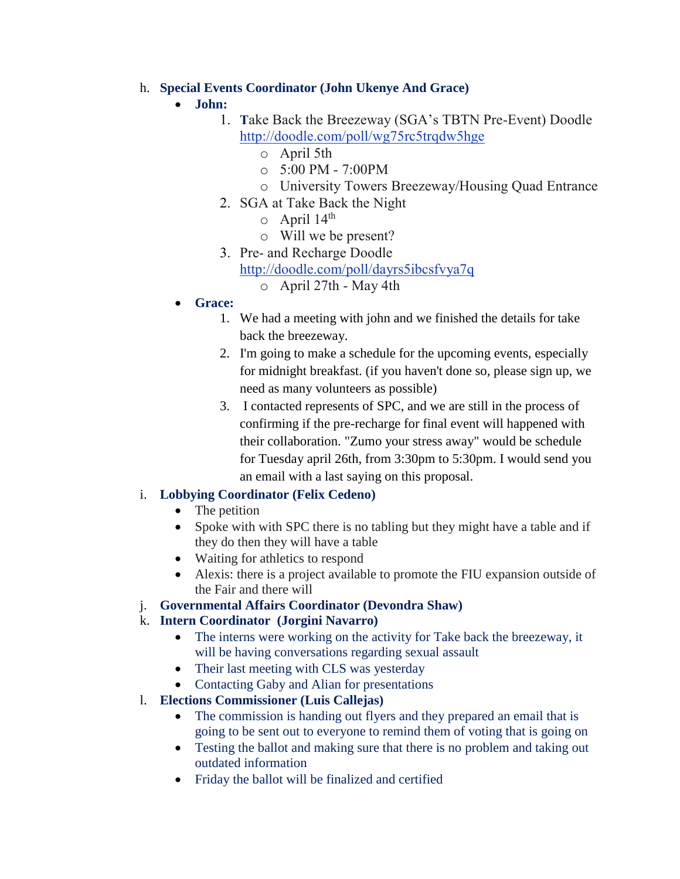### h. **Special Events Coordinator (John Ukenye And Grace)**

# **John:**

- 1. **T**ake Back the Breezeway (SGA's TBTN Pre-Event) Doodle <http://doodle.com/poll/wg75rc5trqdw5hge>
	- o April 5th
	- $\circ$  5:00 PM 7:00PM
	- o University Towers Breezeway/Housing Quad Entrance
- 2. SGA at Take Back the Night
	- $\circ$  April 14<sup>th</sup>
	- o Will we be present?
- 3. Pre- and Recharge Doodle
	- <http://doodle.com/poll/dayrs5ibcsfvya7q>
		- $\circ$  April 27th May 4th
- **Grace:**
	- 1. We had a meeting with john and we finished the details for take back the breezeway.
	- 2. I'm going to make a schedule for the upcoming events, especially for midnight breakfast. (if you haven't done so, please sign up, we need as many volunteers as possible)
	- 3. I contacted represents of SPC, and we are still in the process of confirming if the pre-recharge for final event will happened with their collaboration. "Zumo your stress away" would be schedule for Tuesday april 26th, from 3:30pm to 5:30pm. I would send you an email with a last saying on this proposal.

## i. **Lobbying Coordinator (Felix Cedeno)**

- The petition
- Spoke with with SPC there is no tabling but they might have a table and if they do then they will have a table
- Waiting for athletics to respond
- Alexis: there is a project available to promote the FIU expansion outside of the Fair and there will
- j. **Governmental Affairs Coordinator (Devondra Shaw)**
- k. **Intern Coordinator (Jorgini Navarro)**
	- The interns were working on the activity for Take back the breezeway, it will be having conversations regarding sexual assault
	- Their last meeting with CLS was yesterday
	- Contacting Gaby and Alian for presentations
- l. **Elections Commissioner (Luis Callejas)**
	- The commission is handing out flyers and they prepared an email that is going to be sent out to everyone to remind them of voting that is going on
	- Testing the ballot and making sure that there is no problem and taking out outdated information
	- Friday the ballot will be finalized and certified